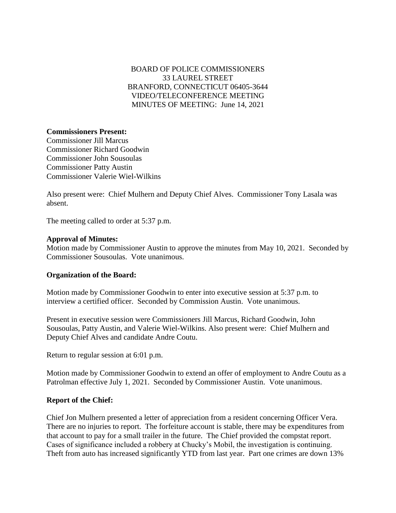# BOARD OF POLICE COMMISSIONERS 33 LAUREL STREET BRANFORD, CONNECTICUT 06405-3644 VIDEO/TELECONFERENCE MEETING MINUTES OF MEETING: June 14, 2021

## **Commissioners Present:**

Commissioner Jill Marcus Commissioner Richard Goodwin Commissioner John Sousoulas Commissioner Patty Austin Commissioner Valerie Wiel-Wilkins

Also present were: Chief Mulhern and Deputy Chief Alves. Commissioner Tony Lasala was absent.

The meeting called to order at 5:37 p.m.

#### **Approval of Minutes:**

Motion made by Commissioner Austin to approve the minutes from May 10, 2021. Seconded by Commissioner Sousoulas. Vote unanimous.

## **Organization of the Board:**

Motion made by Commissioner Goodwin to enter into executive session at 5:37 p.m. to interview a certified officer. Seconded by Commission Austin. Vote unanimous.

Present in executive session were Commissioners Jill Marcus, Richard Goodwin, John Sousoulas, Patty Austin, and Valerie Wiel-Wilkins. Also present were: Chief Mulhern and Deputy Chief Alves and candidate Andre Coutu.

Return to regular session at 6:01 p.m.

Motion made by Commissioner Goodwin to extend an offer of employment to Andre Coutu as a Patrolman effective July 1, 2021. Seconded by Commissioner Austin. Vote unanimous.

#### **Report of the Chief:**

Chief Jon Mulhern presented a letter of appreciation from a resident concerning Officer Vera. There are no injuries to report. The forfeiture account is stable, there may be expenditures from that account to pay for a small trailer in the future. The Chief provided the compstat report. Cases of significance included a robbery at Chucky's Mobil, the investigation is continuing. Theft from auto has increased significantly YTD from last year. Part one crimes are down 13%